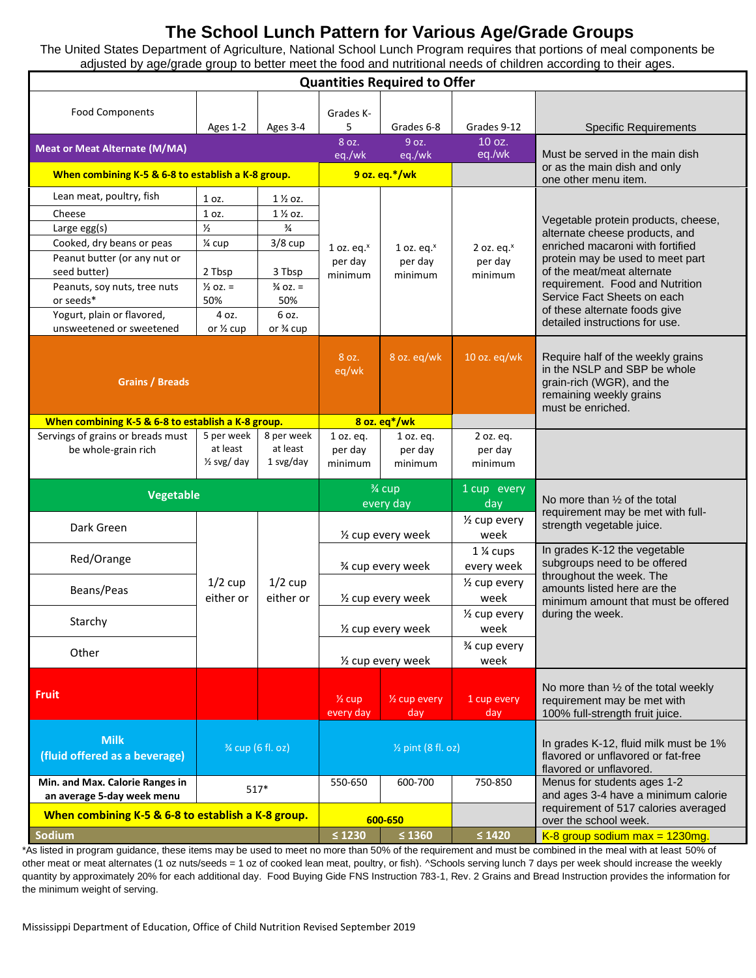# **The School Lunch Pattern for Various Age/Grade Groups**

The United States Department of Agriculture, National School Lunch Program requires that portions of meal components be adjusted by age/grade group to better meet the food and nutritional needs of children according to their ages.

| <b>Quantities Required to Offer</b>                           |                                                  |                                     |                                     |                                     |                                     |                                                                                                                                                                                                                                                                                                                  |
|---------------------------------------------------------------|--------------------------------------------------|-------------------------------------|-------------------------------------|-------------------------------------|-------------------------------------|------------------------------------------------------------------------------------------------------------------------------------------------------------------------------------------------------------------------------------------------------------------------------------------------------------------|
| <b>Food Components</b>                                        | Ages 1-2                                         | Ages 3-4                            | Grades K-<br>5<br>8 oz.             | Grades 6-8<br>9 oz.                 | Grades 9-12<br>10 oz.               | <b>Specific Requirements</b>                                                                                                                                                                                                                                                                                     |
| <b>Meat or Meat Alternate (M/MA)</b>                          |                                                  |                                     | eq./wk                              | eq./wk                              | eq./wk                              | Must be served in the main dish                                                                                                                                                                                                                                                                                  |
| When combining K-5 & 6-8 to establish a K-8 group.            |                                                  |                                     | 9 oz. eq.*/wk                       |                                     |                                     | or as the main dish and only<br>one other menu item.                                                                                                                                                                                                                                                             |
| Lean meat, poultry, fish                                      | 1 oz.                                            | $1\%$ oz.                           | 1 oz. eq. $x$<br>per day<br>minimum | 1 oz. eq. $x$<br>per day<br>minimum | 2 oz. eq. $x$<br>per day<br>minimum | Vegetable protein products, cheese,<br>alternate cheese products, and<br>enriched macaroni with fortified<br>protein may be used to meet part<br>of the meat/meat alternate<br>requirement. Food and Nutrition<br>Service Fact Sheets on each<br>of these alternate foods give<br>detailed instructions for use. |
| Cheese                                                        | 1 oz.                                            | $1\frac{1}{2}$ oz.                  |                                     |                                     |                                     |                                                                                                                                                                                                                                                                                                                  |
| Large egg(s)                                                  | $\frac{1}{2}$                                    | $\frac{3}{4}$                       |                                     |                                     |                                     |                                                                                                                                                                                                                                                                                                                  |
| Cooked, dry beans or peas                                     | 1⁄4 cup                                          | $3/8$ cup                           |                                     |                                     |                                     |                                                                                                                                                                                                                                                                                                                  |
| Peanut butter (or any nut or                                  |                                                  |                                     |                                     |                                     |                                     |                                                                                                                                                                                                                                                                                                                  |
| seed butter)                                                  | 2 Tbsp<br>$\frac{1}{2}$ oz. =                    | 3 Tbsp<br>$\frac{3}{4}$ OZ. =       |                                     |                                     |                                     |                                                                                                                                                                                                                                                                                                                  |
| Peanuts, soy nuts, tree nuts<br>or seeds*                     | 50%                                              | 50%                                 |                                     |                                     |                                     |                                                                                                                                                                                                                                                                                                                  |
| Yogurt, plain or flavored,                                    | 4 oz.                                            | 6 oz.                               |                                     |                                     |                                     |                                                                                                                                                                                                                                                                                                                  |
| unsweetened or sweetened                                      | or $\frac{1}{2}$ cup                             | or 3⁄4 cup                          |                                     |                                     |                                     |                                                                                                                                                                                                                                                                                                                  |
| <b>Grains / Breads</b>                                        |                                                  |                                     | 8 oz.<br>eq/wk                      | 8 oz. eq/wk                         | 10 oz. eq/wk                        | Require half of the weekly grains<br>in the NSLP and SBP be whole<br>grain-rich (WGR), and the<br>remaining weekly grains<br>must be enriched.                                                                                                                                                                   |
| When combining K-5 & 6-8 to establish a K-8 group.            |                                                  |                                     | 8 oz. eq*/wk                        |                                     |                                     |                                                                                                                                                                                                                                                                                                                  |
| Servings of grains or breads must<br>be whole-grain rich      | 5 per week<br>at least<br>$\frac{1}{2}$ svg/ day | 8 per week<br>at least<br>1 svg/day | 1 oz. eq.<br>per day<br>minimum     | 1 oz. eq.<br>per day<br>minimum     | 2 oz. eq.<br>per day<br>minimum     |                                                                                                                                                                                                                                                                                                                  |
| <b>Vegetable</b>                                              |                                                  |                                     | 3⁄4 cup<br>every day                |                                     | 1 cup every<br>day                  | No more than $\frac{1}{2}$ of the total                                                                                                                                                                                                                                                                          |
| Dark Green                                                    |                                                  | $1/2$ cup<br>either or              | 1/2 cup every week                  |                                     | $\frac{1}{2}$ cup every<br>week     | requirement may be met with full-<br>strength vegetable juice.                                                                                                                                                                                                                                                   |
| Red/Orange                                                    | $1/2$ cup<br>either or                           |                                     | 3⁄4 cup every week                  |                                     | 1 % cups<br>every week              | In grades K-12 the vegetable<br>subgroups need to be offered<br>throughout the week. The<br>amounts listed here are the<br>minimum amount that must be offered<br>during the week.                                                                                                                               |
| Beans/Peas                                                    |                                                  |                                     | 1/2 cup every week                  |                                     | 1/ <sub>2</sub> cup every<br>week   |                                                                                                                                                                                                                                                                                                                  |
|                                                               |                                                  |                                     |                                     |                                     | 1/ <sub>2</sub> cup every           |                                                                                                                                                                                                                                                                                                                  |
| Starchy                                                       |                                                  |                                     | 1/2 cup every week                  |                                     | week                                |                                                                                                                                                                                                                                                                                                                  |
| Other                                                         |                                                  |                                     | 1/2 cup every week                  |                                     | 3⁄4 cup every<br>week               |                                                                                                                                                                                                                                                                                                                  |
| <b>Fruit</b>                                                  |                                                  |                                     | $\frac{1}{2}$ cup<br>every day      | 1/2 cup every<br>day                | 1 cup every<br>day                  | No more than 1/2 of the total weekly<br>requirement may be met with<br>100% full-strength fruit juice.                                                                                                                                                                                                           |
| <b>Milk</b><br>(fluid offered as a beverage)                  | 3⁄4 cup (6 fl. oz)                               |                                     | 1/ <sub>2</sub> pint (8 fl. oz)     |                                     |                                     | In grades K-12, fluid milk must be 1%<br>flavored or unflavored or fat-free<br>flavored or unflavored.                                                                                                                                                                                                           |
| Min. and Max. Calorie Ranges in<br>an average 5-day week menu | $517*$                                           |                                     | 550-650                             | 600-700                             | 750-850                             | Menus for students ages 1-2<br>and ages 3-4 have a minimum calorie                                                                                                                                                                                                                                               |
| When combining K-5 & 6-8 to establish a K-8 group.            |                                                  |                                     | 600-650                             |                                     |                                     | requirement of 517 calories averaged<br>over the school week.                                                                                                                                                                                                                                                    |
| Sodium                                                        | $\leq 1230$                                      | $\leq 1360$                         | $\leq 1420$                         | K-8 group sodium max = $1230mg$ .   |                                     |                                                                                                                                                                                                                                                                                                                  |

\*As listed in program guidance, these items may be used to meet no more than 50% of the requirement and must be combined in the meal with at least 50% of other meat or meat alternates (1 oz nuts/seeds = 1 oz of cooked lean meat, poultry, or fish). ^Schools serving lunch 7 days per week should increase the weekly quantity by approximately 20% for each additional day. Food Buying Gide FNS Instruction 783-1, Rev. 2 Grains and Bread Instruction provides the information for the minimum weight of serving.